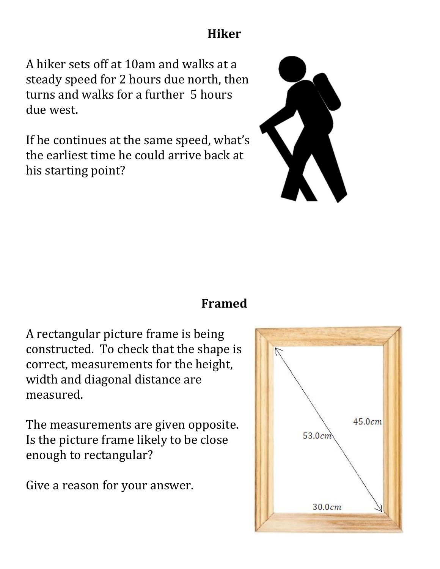# **Hiker**

A hiker sets off at 10am and walks at a steady speed for 2 hours due north, then turns and walks for a further 5 hours due west.

If he continues at the same speed, what's the earliest time he could arrive back at his starting point?



### **Framed**

A rectangular picture frame is being constructed. To check that the shape is correct, measurements for the height, width and diagonal distance are measured.

The measurements are given opposite. Is the picture frame likely to be close enough to rectangular?

Give a reason for your answer.

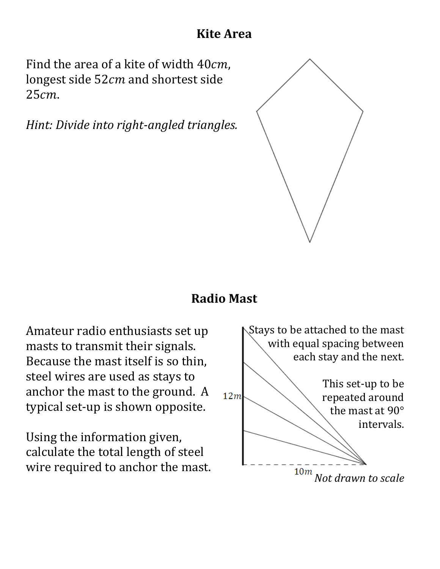# **Kite Area**

Find the area of a kite of width  $40cm$ , longest side 52cm and shortest side 25cm.

*Hint: Divide into right-angled triangles.* 



### **Radio Mast**

Amateur radio enthusiasts set up masts to transmit their signals. Because the mast itself is so thin, steel wires are used as stays to anchor the mast to the ground. A typical set-up is shown opposite.

Using the information given, calculate the total length of steel wire required to anchor the mast.

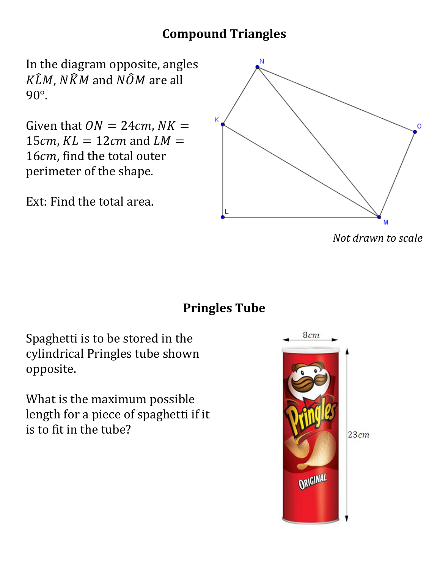# **Compound Triangles**

In the diagram opposite, angles  $K\hat{L}M$ ,  $N\hat{K}M$  and  $N\hat{O}M$  are all 90°.

Given that  $ON = 24cm$ ,  $NK =$ 15 $cm$ ,  $KL = 12cm$  and  $LM =$ 16cm, find the total outer perimeter of the shape.

Ext: Find the total area.



*Not drawn to scale*



Spaghetti is to be stored in the cylindrical Pringles tube shown opposite.

What is the maximum possible length for a piece of spaghetti if it is to fit in the tube?

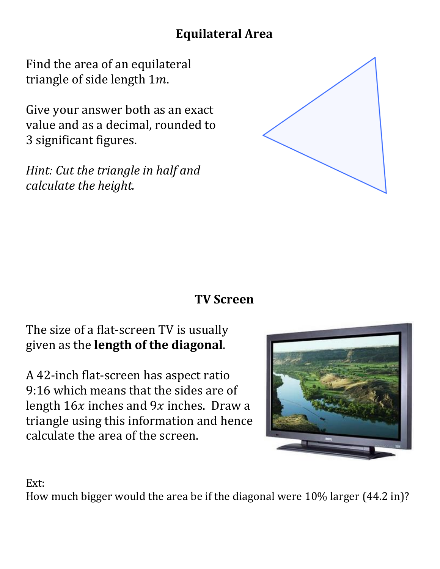# **Equilateral Area**

Find the area of an equilateral triangle of side length  $1m$ .

Give your answer both as an exact value and as a decimal, rounded to 3 significant figures.

*Hint: Cut the triangle in half and calculate the height.* 



# **TV Screen**

# The size of a flat-screen TV is usually given as the **length of the diagonal**.

A 42-inch flat-screen has aspect ratio 9:16 which means that the sides are of length  $16x$  inches and  $9x$  inches. Draw a triangle using this information and hence calculate the area of the screen.



Ext:

How much bigger would the area be if the diagonal were 10% larger (44.2 in)?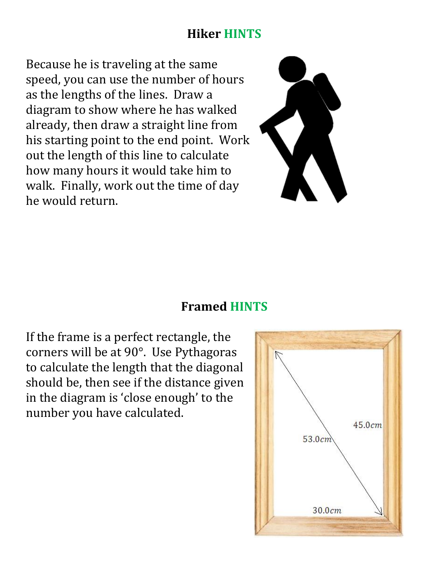### **Hiker HINTS**

Because he is traveling at the same speed, you can use the number of hours as the lengths of the lines. Draw a diagram to show where he has walked already, then draw a straight line from his starting point to the end point. Work out the length of this line to calculate how many hours it would take him to walk. Finally, work out the time of day he would return.



### **Framed HINTS**

If the frame is a perfect rectangle, the corners will be at 90°. Use Pythagoras to calculate the length that the diagonal should be, then see if the distance given in the diagram is 'close enough' to the number you have calculated.

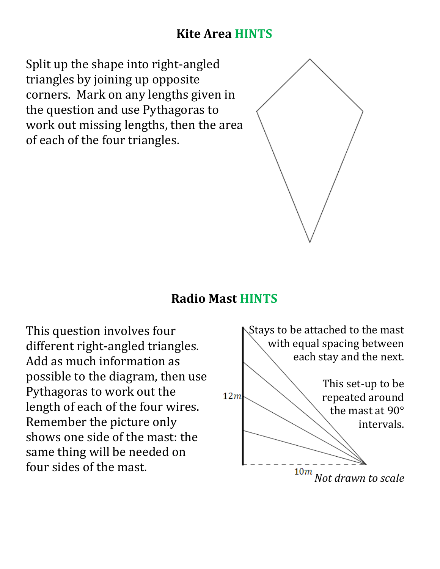# **Kite Area HINTS**

Split up the shape into right-angled triangles by joining up opposite corners. Mark on any lengths given in the question and use Pythagoras to work out missing lengths, then the area of each of the four triangles.



### **Radio Mast HINTS**

This question involves four different right-angled triangles. Add as much information as possible to the diagram, then use Pythagoras to work out the length of each of the four wires. Remember the picture only shows one side of the mast: the same thing will be needed on four sides of the mast.

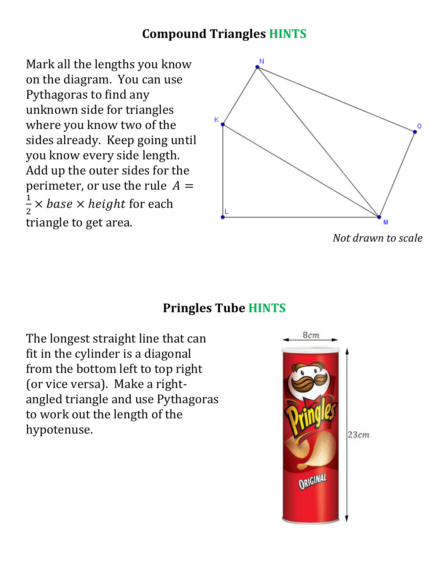# **Compound Triangles HINTS**

Mark all the lengths you know on the diagram. You can use Pythagoras to find any unknown side for triangles where you know two of the sides already. Keep going until you know every side length. Add up the outer sides for the perimeter, or use the rule  $A =$ 1 2  $\times$  base  $\times$  height for each triangle to get area.



*Not drawn to scale*

# **Pringles Tube HINTS**

The longest straight line that can fit in the cylinder is a diagonal from the bottom left to top right (or vice versa). Make a rightangled triangle and use Pythagoras to work out the length of the hypotenuse.

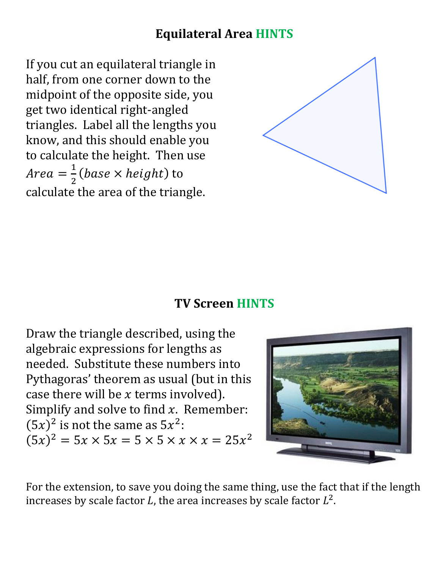# **Equilateral Area HINTS**

If you cut an equilateral triangle in half, from one corner down to the midpoint of the opposite side, you get two identical right-angled triangles. Label all the lengths you know, and this should enable you to calculate the height. Then use  $Area = \frac{1}{2}$ 2 (base  $\times$  height) to calculate the area of the triangle.



#### **TV Screen HINTS**

Draw the triangle described, using the algebraic expressions for lengths as needed. Substitute these numbers into Pythagoras' theorem as usual (but in this case there will be  $x$  terms involved). Simplify and solve to find  $x$ . Remember:  $(5x)^2$  is not the same as  $5x^2$ :  $(5x)^2 = 5x \times 5x = 5 \times 5 \times x \times x = 25x^2$ 



For the extension, to save you doing the same thing, use the fact that if the length increases by scale factor L, the area increases by scale factor  $L^2$ .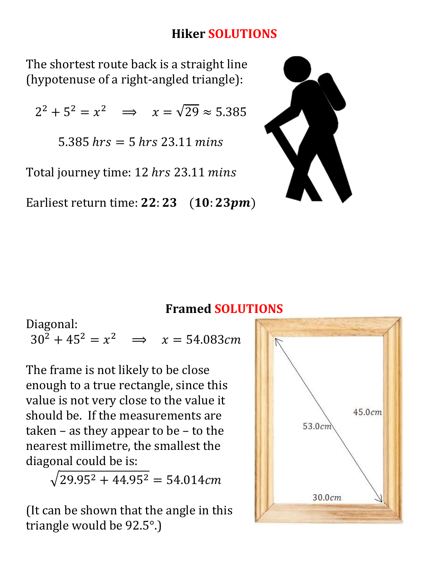# **Hiker SOLUTIONS**

The shortest route back is a straight line (hypotenuse of a right-angled triangle):

 $2^2 + 5^2 = x^2 \implies x = \sqrt{29} \approx 5.385$ 

 $5.385$  hrs  $= 5$  hrs 23.11 mins

Total journey time: 12 hrs 23.11 mins

Earliest return time:  $22:23$  (10:  $23pm$ )



### **Framed SOLUTIONS**

Diagonal:  $30^2 + 45^2 = x^2 \implies x = 54.083cm$ 

The frame is not likely to be close enough to a true rectangle, since this value is not very close to the value it should be. If the measurements are taken – as they appear to be – to the nearest millimetre, the smallest the diagonal could be is:

 $\sqrt{29.95^2 + 44.95^2} = 54.014$ cm

(It can be shown that the angle in this triangle would be 92.5°.)

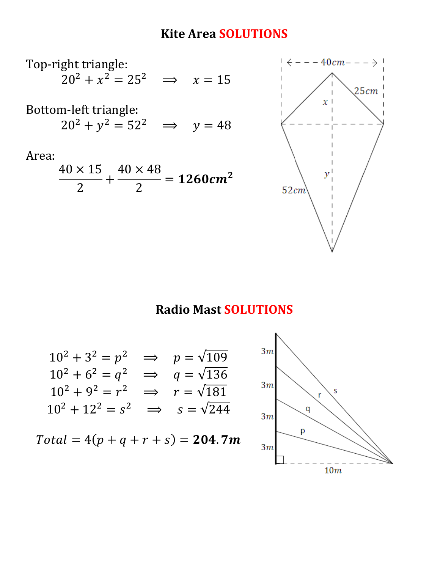## **Kite Area SOLUTIONS**



#### **Radio Mast SOLUTIONS**

$$
10^{2} + 3^{2} = p^{2} \implies p = \sqrt{109}
$$
  
\n
$$
10^{2} + 6^{2} = q^{2} \implies q = \sqrt{136}
$$
  
\n
$$
10^{2} + 9^{2} = r^{2} \implies r = \sqrt{181}
$$
  
\n
$$
10^{2} + 12^{2} = s^{2} \implies s = \sqrt{244}
$$

 $Total = 4(p + q + r + s) = 204.7m$ 

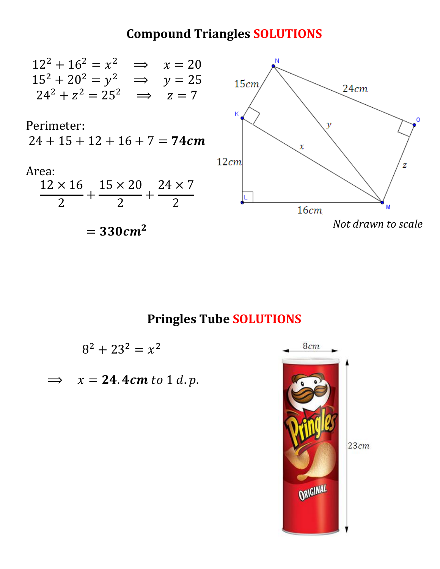## **Compound Triangles SOLUTIONS**



### **Pringles Tube SOLUTIONS**

 $8^2 + 23^2 = x^2$ 

 $\implies$   $x = 24.4cm$  to 1 d.p.